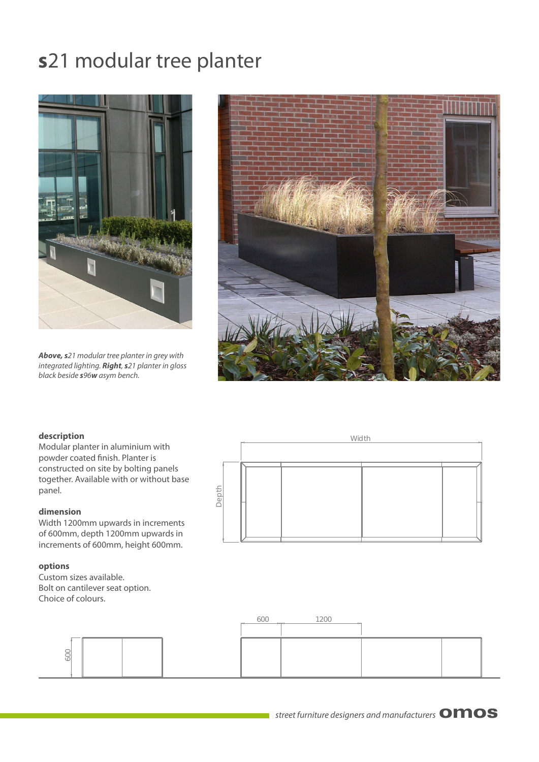## **s**21 modular tree planter



*Above, s*21 modular tree planter in grey with integrated lighting. *Right*, *s*21 planter in gloss black beside *s*96*w* asym bench.



### **description**

Modular planter in aluminium with powder coated finish. Planter is constructed on site by bolting panels together. Available with or without base panel.

### **dimension**

Width 1200mm upwards in increments of 600mm, depth 1200mm upwards in increments of 600mm, height 600mm.

#### **options**

600

Custom sizes available. Bolt on cantilever seat option. Choice of colours.



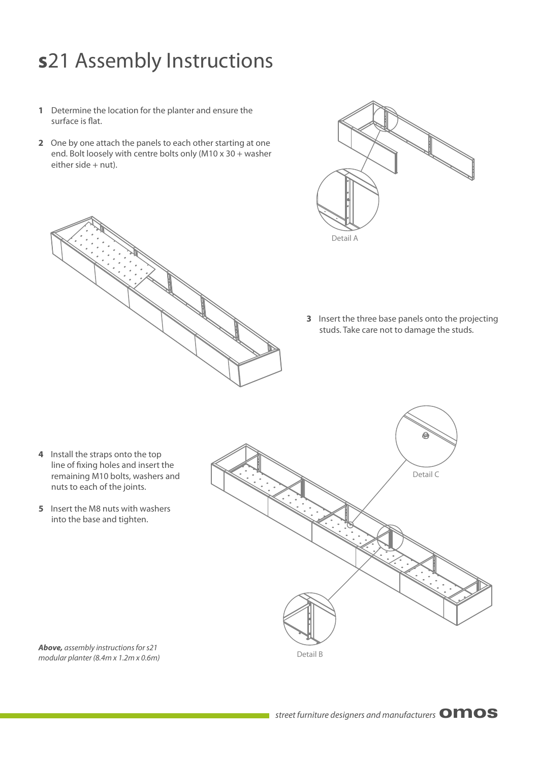# **s**21 Assembly Instructions

- **1** Determine the location for the planter and ensure the surface is flat.
- **2** One by one attach the panels to each other starting at one end. Bolt loosely with centre bolts only (M10 x 30 + washer  $e$ ither side + nut).



**3** Insert the three base panels onto the projecting studs. Take care not to damage the studs.

- **4** Install the straps onto the top line of fixing holes and insert the remaining M10 bolts, washers and nuts to each of the joints.
- **5** Insert the M8 nuts with washers into the base and tighten.



*Above,* assembly instructions for s21 modular planter (8.4m x 1.2m x 0.6m)